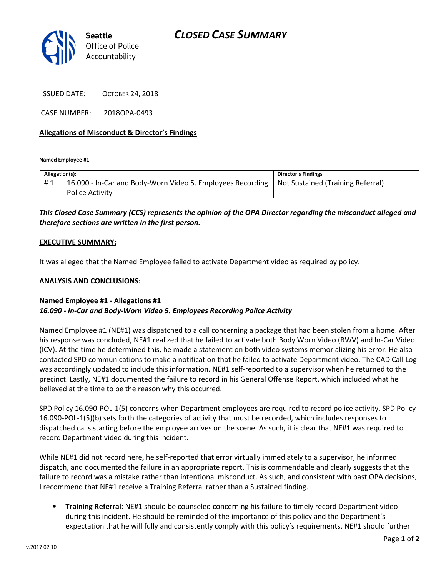

ISSUED DATE: OCTOBER 24, 2018

Accountability

CASE NUMBER: 2018OPA-0493

## Allegations of Misconduct & Director's Findings

Named Employee #1

| Allegation(s): |                                                            | <b>Director's Findings</b>        |
|----------------|------------------------------------------------------------|-----------------------------------|
| #1             | 16.090 - In-Car and Body-Worn Video 5. Employees Recording | Not Sustained (Training Referral) |
|                | <b>Police Activity</b>                                     |                                   |

# This Closed Case Summary (CCS) represents the opinion of the OPA Director regarding the misconduct alleged and therefore sections are written in the first person.

#### EXECUTIVE SUMMARY:

It was alleged that the Named Employee failed to activate Department video as required by policy.

#### ANALYSIS AND CONCLUSIONS:

## Named Employee #1 - Allegations #1 16.090 - In-Car and Body-Worn Video 5. Employees Recording Police Activity

Named Employee #1 (NE#1) was dispatched to a call concerning a package that had been stolen from a home. After his response was concluded, NE#1 realized that he failed to activate both Body Worn Video (BWV) and In-Car Video (ICV). At the time he determined this, he made a statement on both video systems memorializing his error. He also contacted SPD communications to make a notification that he failed to activate Department video. The CAD Call Log was accordingly updated to include this information. NE#1 self-reported to a supervisor when he returned to the precinct. Lastly, NE#1 documented the failure to record in his General Offense Report, which included what he believed at the time to be the reason why this occurred.

SPD Policy 16.090-POL-1(5) concerns when Department employees are required to record police activity. SPD Policy 16.090-POL-1(5)(b) sets forth the categories of activity that must be recorded, which includes responses to dispatched calls starting before the employee arrives on the scene. As such, it is clear that NE#1 was required to record Department video during this incident.

While NE#1 did not record here, he self-reported that error virtually immediately to a supervisor, he informed dispatch, and documented the failure in an appropriate report. This is commendable and clearly suggests that the failure to record was a mistake rather than intentional misconduct. As such, and consistent with past OPA decisions, I recommend that NE#1 receive a Training Referral rather than a Sustained finding.

• Training Referral: NE#1 should be counseled concerning his failure to timely record Department video during this incident. He should be reminded of the importance of this policy and the Department's expectation that he will fully and consistently comply with this policy's requirements. NE#1 should further